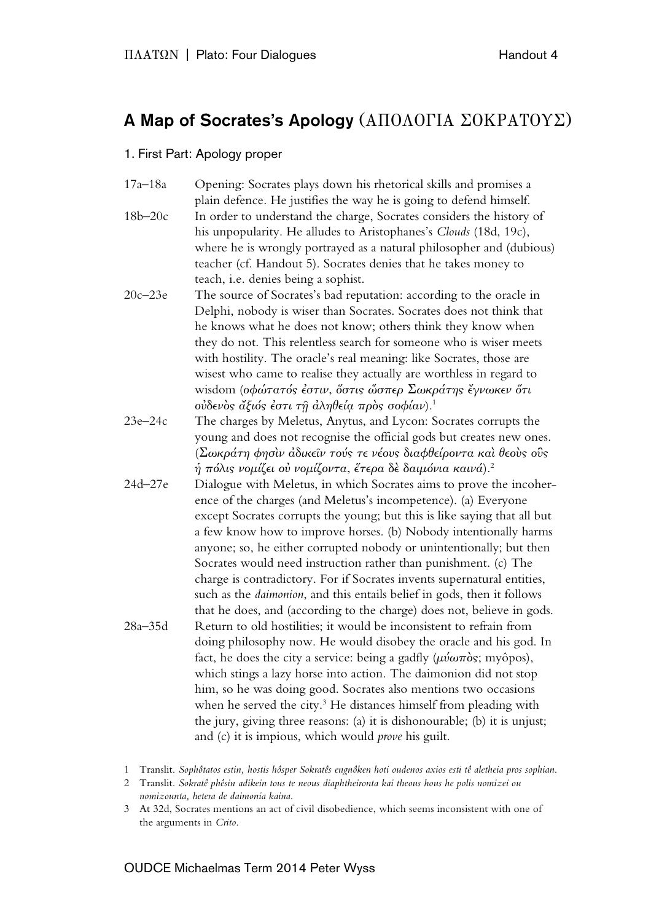# A Map of Socrates's Apology (ΑΠΟΛΟΓΙΑ ΣΟΚΡΑΤΟΥΣ)

#### 1. First Part: Apology proper

17a–18a Opening: Socrates plays down his rhetorical skills and promises a plain defence. He justifies the way he is going to defend himself. 18b–20c In order to understand the charge, Socrates considers the history of his unpopularity. He alludes to Aristophanes's *Clouds* (18d, 19c), where he is wrongly portrayed as a natural philosopher and (dubious) teacher (cf. Handout 5). Socrates denies that he takes money to teach, i.e. denies being a sophist.

- 20c–23e The source of Socrates's bad reputation: according to the oracle in Delphi, nobody is wiser than Socrates. Socrates does not think that he knows what he does not know; others think they know when they do not. This relentless search for someone who is wiser meets with hostility. The oracle's real meaning: like Socrates, those are wisest who came to realise they actually are worthless in regard to wisdom (οφώτατός έστιν, όστις ώσπερ Σωκράτης έγνωκεν ότι οὐδενὸς ἄξιός ἐστι τῇ ἀληθείᾳ πρὸς σοφίαν).1
- 23e–24c The charges by Meletus, Anytus, and Lycon: Socrates corrupts the young and does not recognise the official gods but creates new ones. (Σωκράτη φησὶν ἀδικεῖν τούς τε νέους διαφθείροντα καὶ θεοὺς οὓς  $\eta$  πόλις νομίζει οὐ νομίζοντα, ἔτερα δὲ δαιμόνια καινά).<sup>2</sup>
- 24d–27e Dialogue with Meletus, in which Socrates aims to prove the incoherence of the charges (and Meletus's incompetence). (a) Everyone except Socrates corrupts the young; but this is like saying that all but a few know how to improve horses. (b) Nobody intentionally harms anyone; so, he either corrupted nobody or unintentionally; but then Socrates would need instruction rather than punishment. (c) The charge is contradictory. For if Socrates invents supernatural entities, such as the *daimonion*, and this entails belief in gods, then it follows that he does, and (according to the charge) does not, believe in gods. 28a–35d Return to old hostilities; it would be inconsistent to refrain from doing philosophy now. He would disobey the oracle and his god. In fact, he does the city a service: being a gadfly  $(\mu \acute{\nu} \omega \pi \grave{\sigma} s; m \grave{\nu} \grave{\sigma} \rho s)$ , which stings a lazy horse into action. The daimonion did not stop him, so he was doing good. Socrates also mentions two occasions when he served the city.<sup>3</sup> He distances himself from pleading with the jury, giving three reasons: (a) it is dishonourable; (b) it is unjust; and (c) it is impious, which would *prove* his guilt.

### OUDCE Michaelmas Term 2014 Peter Wyss

<sup>1</sup> Translit. *Sophôtatos estin, hostis hôsper Sokratês engnôken hoti oudenos axios esti tê aletheia pros sophian*.

<sup>2</sup> Translit. *Sokratê phêsin adikein tous te neous diaphtheironta kai theous hous he polis nomizei ou nomizounta, hetera de daimonia kaina*.

<sup>3</sup> At 32d, Socrates mentions an act of civil disobedience, which seems inconsistent with one of the arguments in *Crito*.